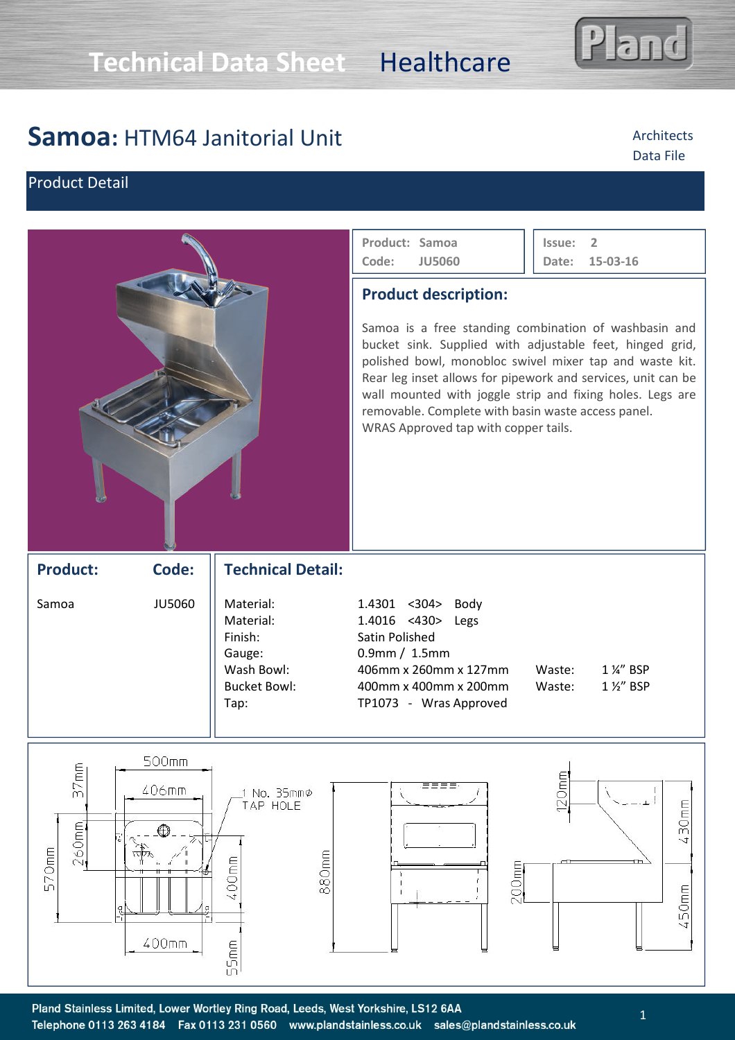# **Samoa:** HTM64 Janitorial Unit

## Product Detail

|                           |                                                                                 |                                                                                          | Product: Samoa<br>Code:<br><b>JU5060</b>                                                                                                                                                                                                                                                                                                                                                                                               | $\overline{2}$<br>Issue:<br>Date:<br>15-03-16 |
|---------------------------|---------------------------------------------------------------------------------|------------------------------------------------------------------------------------------|----------------------------------------------------------------------------------------------------------------------------------------------------------------------------------------------------------------------------------------------------------------------------------------------------------------------------------------------------------------------------------------------------------------------------------------|-----------------------------------------------|
|                           |                                                                                 |                                                                                          | <b>Product description:</b><br>Samoa is a free standing combination of washbasin and<br>bucket sink. Supplied with adjustable feet, hinged grid,<br>polished bowl, monobloc swivel mixer tap and waste kit.<br>Rear leg inset allows for pipework and services, unit can be<br>wall mounted with joggle strip and fixing holes. Legs are<br>removable. Complete with basin waste access panel.<br>WRAS Approved tap with copper tails. |                                               |
| <b>Product:</b>           | Code:                                                                           | <b>Technical Detail:</b>                                                                 |                                                                                                                                                                                                                                                                                                                                                                                                                                        |                                               |
| Samoa                     | <b>JU5060</b>                                                                   | Material:<br>Material:<br>Finish:<br>Gauge:<br>Wash Bowl:<br><b>Bucket Bowl:</b><br>Tap: | 1.4301 <304><br>Body<br>$1.4016$ <430><br>Legs<br>Satin Polished<br>$0.9$ mm / $1.5$ mm<br>406mm x 260mm x 127mm<br>400mm x 400mm x 200mm<br>TP1073 - Wras Approved                                                                                                                                                                                                                                                                    | 1 %" BSP<br>Waste:<br>1 1/2" BSP<br>Waste:    |
| 37mm<br>$260$ mm<br>570mm | 500mm<br>406mm<br>⊕<br>$\overline{\mathbb{Z}}$<br>ш<br>्री<br>जी<br>ę,<br>400mm | 1 No. 35mm∅<br>TAP HOLE<br>880mm<br>400mm<br>55 <sub>mm</sub>                            | 200 <sub>mm</sub>                                                                                                                                                                                                                                                                                                                                                                                                                      | 120 <sub>mm</sub><br>$430$ mm<br>$450$ mm     |



land

### Architects Data File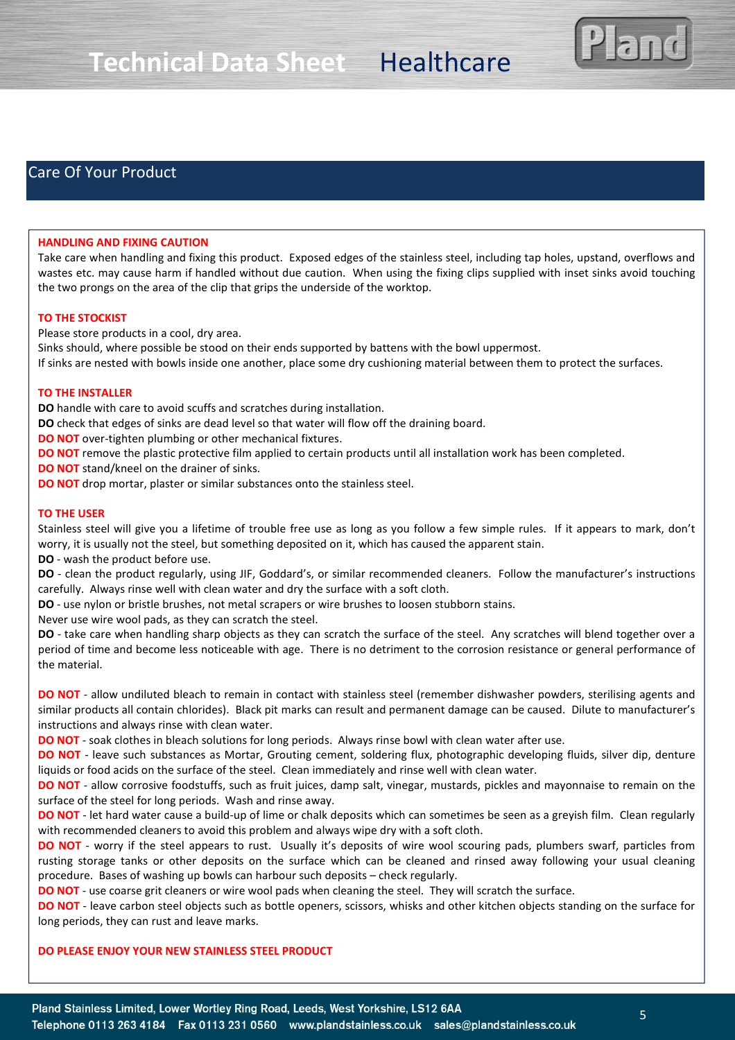

## Care Of Your Product

#### **HANDLING AND FIXING CAUTION**

Take care when handling and fixing this product. Exposed edges of the stainless steel, including tap holes, upstand, overflows and wastes etc. may cause harm if handled without due caution. When using the fixing clips supplied with inset sinks avoid touching the two prongs on the area of the clip that grips the underside of the worktop.

#### **TO THE STOCKIST**

Please store products in a cool, dry area.

Sinks should, where possible be stood on their ends supported by battens with the bowl uppermost. If sinks are nested with bowls inside one another, place some dry cushioning material between them to protect the surfaces.

#### **TO THE INSTALLER**

**DO** handle with care to avoid scuffs and scratches during installation.

**DO** check that edges of sinks are dead level so that water will flow off the draining board.

**DO NOT** over-tighten plumbing or other mechanical fixtures.

**DO NOT** remove the plastic protective film applied to certain products until all installation work has been completed.

**DO NOT** stand/kneel on the drainer of sinks.

**DO NOT** drop mortar, plaster or similar substances onto the stainless steel.

#### **TO THE USER**

Stainless steel will give you a lifetime of trouble free use as long as you follow a few simple rules. If it appears to mark, don't worry, it is usually not the steel, but something deposited on it, which has caused the apparent stain.

**DO** - wash the product before use.

**DO** - clean the product regularly, using JIF, Goddard's, or similar recommended cleaners. Follow the manufacturer's instructions carefully. Always rinse well with clean water and dry the surface with a soft cloth.

**DO** - use nylon or bristle brushes, not metal scrapers or wire brushes to loosen stubborn stains.

Never use wire wool pads, as they can scratch the steel.

**DO** - take care when handling sharp objects as they can scratch the surface of the steel. Any scratches will blend together over a period of time and become less noticeable with age. There is no detriment to the corrosion resistance or general performance of the material.

**DO NOT** - allow undiluted bleach to remain in contact with stainless steel (remember dishwasher powders, sterilising agents and similar products all contain chlorides). Black pit marks can result and permanent damage can be caused. Dilute to manufacturer's instructions and always rinse with clean water.

**DO NOT** - soak clothes in bleach solutions for long periods. Always rinse bowl with clean water after use.

**DO NOT** - leave such substances as Mortar, Grouting cement, soldering flux, photographic developing fluids, silver dip, denture liquids or food acids on the surface of the steel. Clean immediately and rinse well with clean water.

**DO NOT** - allow corrosive foodstuffs, such as fruit juices, damp salt, vinegar, mustards, pickles and mayonnaise to remain on the surface of the steel for long periods. Wash and rinse away.

**DO NOT** - let hard water cause a build-up of lime or chalk deposits which can sometimes be seen as a greyish film. Clean regularly with recommended cleaners to avoid this problem and always wipe dry with a soft cloth.

**DO NOT** - worry if the steel appears to rust. Usually it's deposits of wire wool scouring pads, plumbers swarf, particles from rusting storage tanks or other deposits on the surface which can be cleaned and rinsed away following your usual cleaning procedure. Bases of washing up bowls can harbour such deposits – check regularly.

**DO NOT** - use coarse grit cleaners or wire wool pads when cleaning the steel. They will scratch the surface.

**DO NOT** - leave carbon steel objects such as bottle openers, scissors, whisks and other kitchen objects standing on the surface for long periods, they can rust and leave marks.

#### **DO PLEASE ENJOY YOUR NEW STAINLESS STEEL PRODUCT**